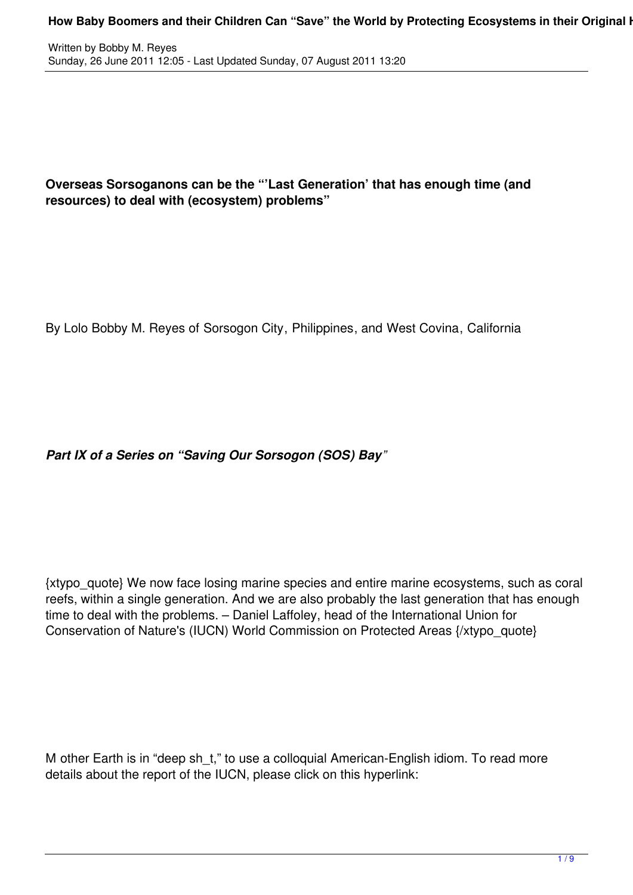## **Overseas Sorsoganons can be the "'Last Generation' that has enough time (and resources) to deal with (ecosystem) problems"**

By Lolo Bobby M. Reyes of Sorsogon City, Philippines, and West Covina, California

*Part IX of a Series on "Saving Our Sorsogon (SOS) Bay"*

{xtypo\_quote} We now face losing marine species and entire marine ecosystems, such as coral reefs, within a single generation. And we are also probably the last generation that has enough time to deal with the problems. – Daniel Laffoley, head of the International Union for Conservation of Nature's (IUCN) World Commission on Protected Areas {/xtypo\_quote}

M other Earth is in "deep sh\_t," to use a colloquial American-English idiom. To read more details about the report of the IUCN, please click on this hyperlink: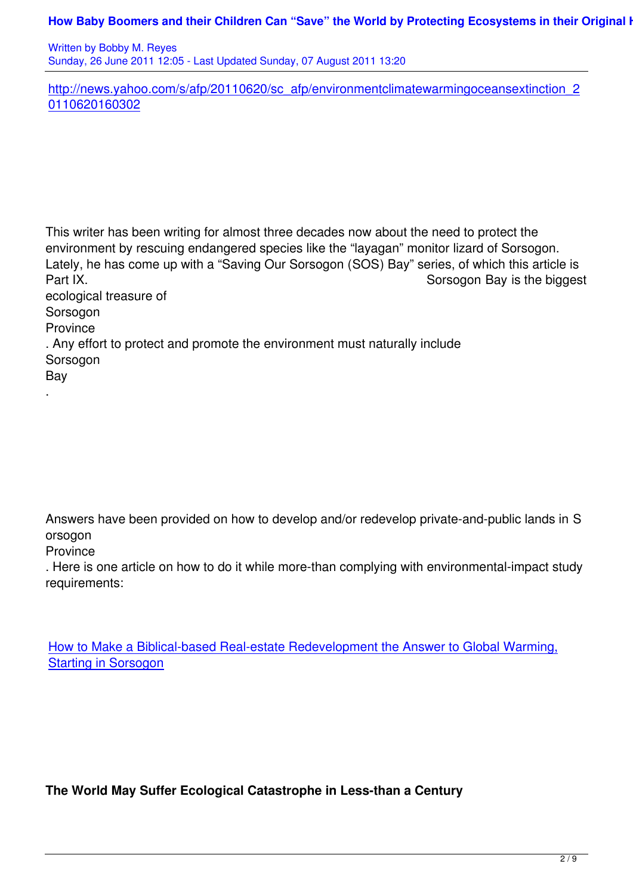Written by Bobby M. Reyes Sunday, 26 June 2011 12:05 - Last Updated Sunday, 07 August 2011 13:20

http://news.yahoo.com/s/afp/20110620/sc\_afp/environmentclimatewarmingoceansextinction\_2 0110620160302

This writer has been writing for almost three decades now about the need to protect the environment by rescuing endangered species like the "layagan" monitor lizard of Sorsogon. Lately, he has come up with a "Saving Our Sorsogon (SOS) Bay" series, of which this article is Part IX. Consequently and the set of the set of the set of the set of the set of the set of the set of the biggest ecological treasure of Sorsogon Province . Any effort to protect and promote the environment must naturally include **Sorsogon** Bay .

Answers have been provided on how to develop and/or redevelop private-and-public lands in S orsogon

**Province** 

. Here is one article on how to do it while more-than complying with environmental-impact study requirements:

How to Make a Biblical-based Real-estate Redevelopment the Answer to Global Warming, Starting in Sorsogon

**The World May Suffer Ecological Catastrophe in Less-than a Century**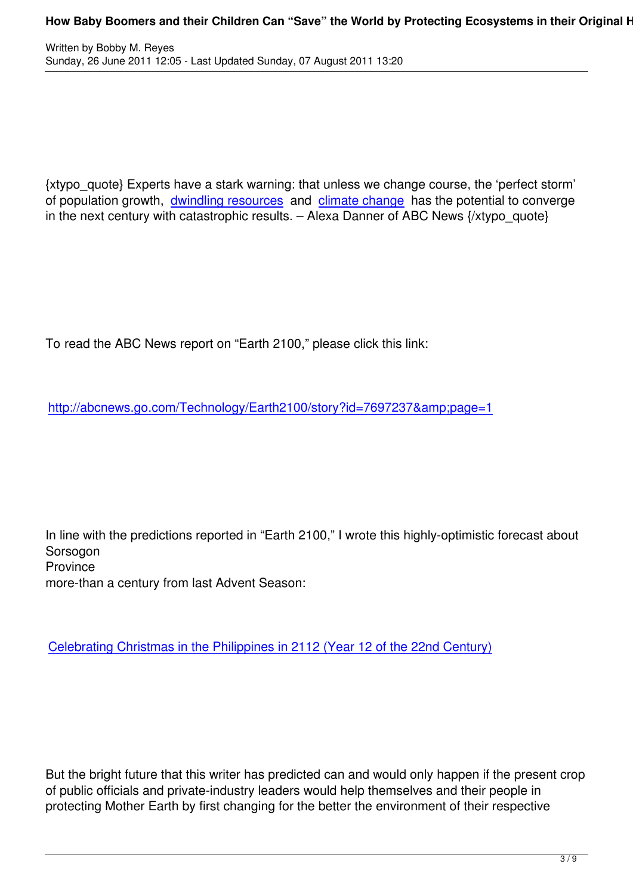{xtypo\_quote} Experts have a stark warning: that unless we change course, the 'perfect storm' of population growth, dwindling resources and climate change has the potential to converge in the next century with catastrophic results. – Alexa Danner of ABC News {/xtypo\_quote}

To read the ABC News report on "Earth 2100," please click this link:

http://abcnews.go.com/Technology/Earth2100/story?id=7697237&page=1

In line with the predictions reported in "Earth 2100," I wrote this highly-optimistic forecast about Sorsogon **Province** more-than a century from last Advent Season:

Celebrating Christmas in the Philippines in 2112 (Year 12 of the 22nd Century)

But the bright future that this writer has predicted can and would only happen if the present crop of public officials and private-industry leaders would help themselves and their people in protecting Mother Earth by first changing for the better the environment of their respective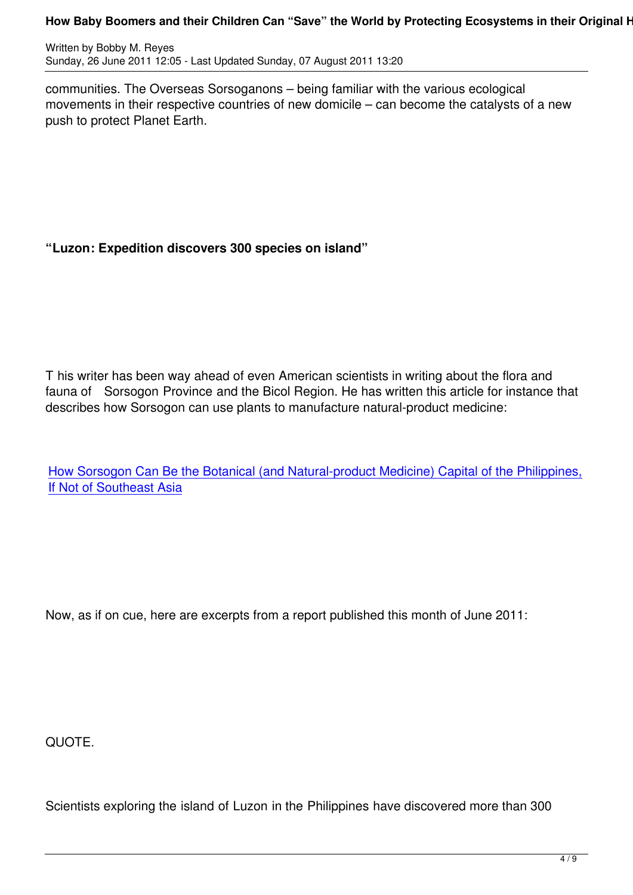communities. The Overseas Sorsoganons – being familiar with the various ecological movements in their respective countries of new domicile – can become the catalysts of a new push to protect Planet Earth.

## **"Luzon: Expedition discovers 300 species on island"**

T his writer has been way ahead of even American scientists in writing about the flora and fauna of Sorsogon Province and the Bicol Region. He has written this article for instance that describes how Sorsogon can use plants to manufacture natural-product medicine:

How Sorsogon Can Be the Botanical (and Natural-product Medicine) Capital of the Philippines, If Not of Southeast Asia

Now, as if on cue, here are excerpts from a report published this month of June 2011:

QUOTE.

Scientists exploring the island of Luzon in the Philippines have discovered more than 300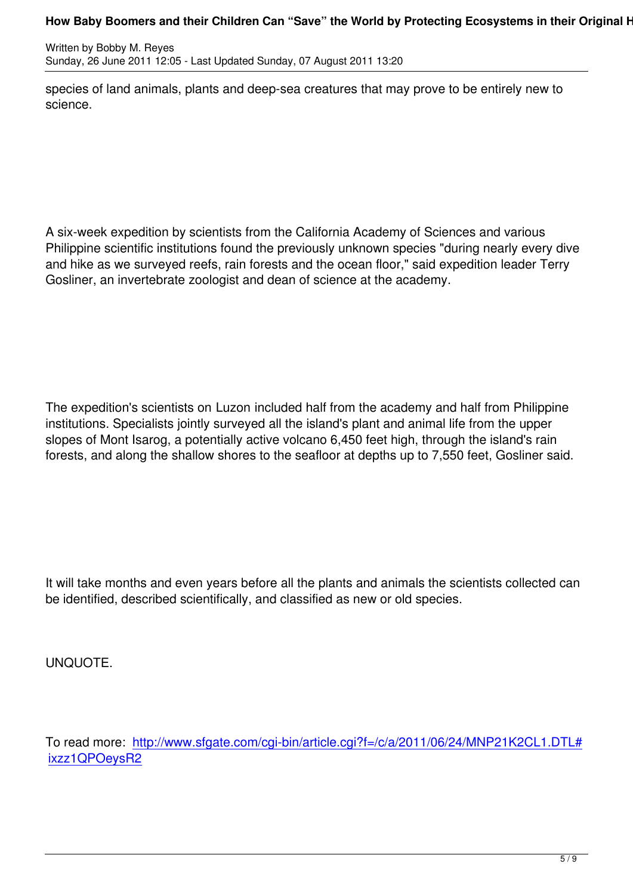species of land animals, plants and deep-sea creatures that may prove to be entirely new to science.

A six-week expedition by scientists from the California Academy of Sciences and various Philippine scientific institutions found the previously unknown species "during nearly every dive and hike as we surveyed reefs, rain forests and the ocean floor," said expedition leader Terry Gosliner, an invertebrate zoologist and dean of science at the academy.

The expedition's scientists on Luzon included half from the academy and half from Philippine institutions. Specialists jointly surveyed all the island's plant and animal life from the upper slopes of Mont Isarog, a potentially active volcano 6,450 feet high, through the island's rain forests, and along the shallow shores to the seafloor at depths up to 7,550 feet, Gosliner said.

It will take months and even years before all the plants and animals the scientists collected can be identified, described scientifically, and classified as new or old species.

UNQUOTE.

To read more: http://www.sfgate.com/cgi-bin/article.cgi?f=/c/a/2011/06/24/MNP21K2CL1.DTL# ixzz1QPOeysR2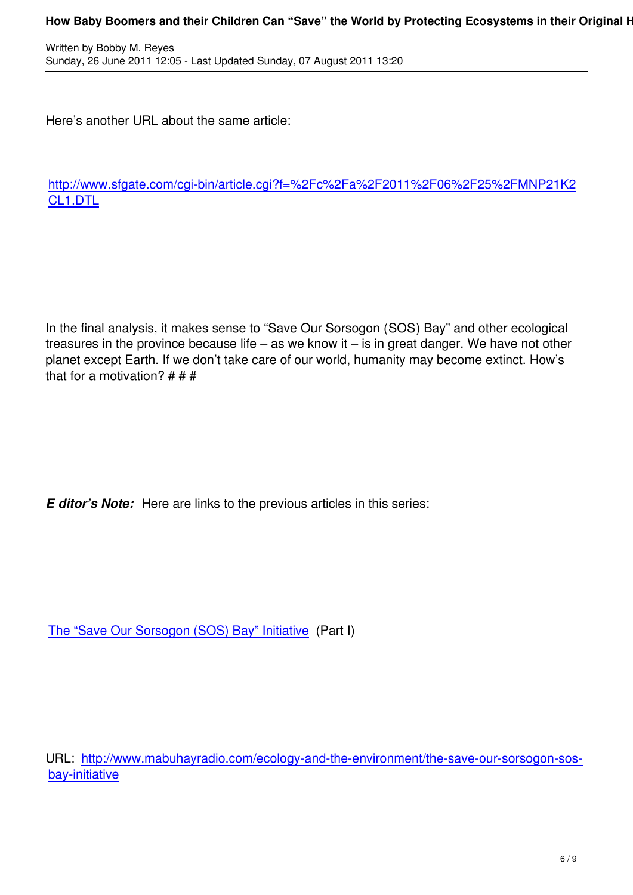Here's another URL about the same article:

http://www.sfgate.com/cgi-bin/article.cgi?f=%2Fc%2Fa%2F2011%2F06%2F25%2FMNP21K2 CL1.DTL

In the final analysis, it makes sense to "Save Our Sorsogon (SOS) Bay" and other ecological treasures in the province because life – as we know it – is in great danger. We have not other planet except Earth. If we don't take care of our world, humanity may become extinct. How's that for a motivation?  $# # #$ 

*E ditor's Note:* Here are links to the previous articles in this series:

The "Save Our Sorsogon (SOS) Bay" Initiative (Part I)

URL: http://www.mabuhayradio.com/ecology-and-the-environment/the-save-our-sorsogon-sosbay-initiative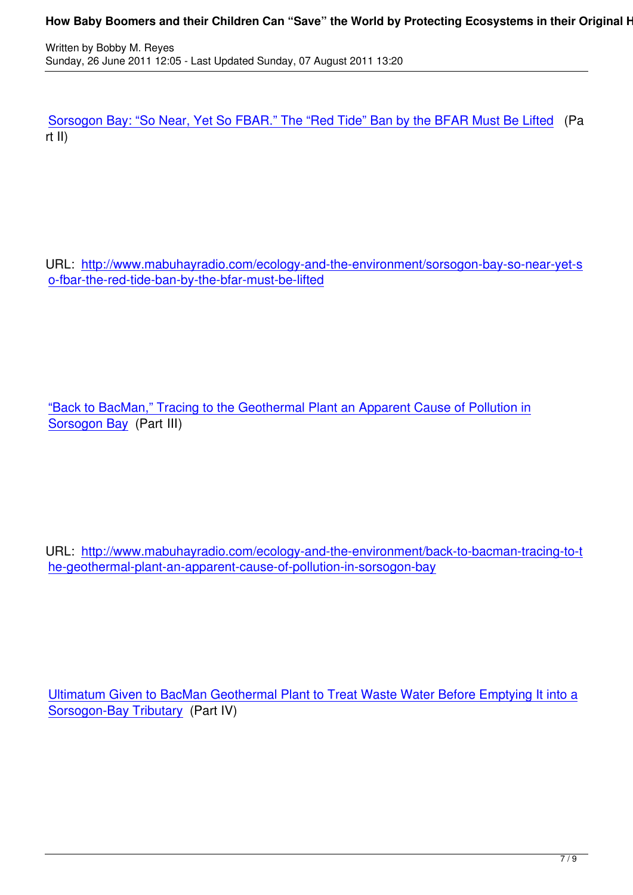Sorsogon Bay: "So Near, Yet So FBAR." The "Red Tide" Ban by the BFAR Must Be Lifted (Pa rt II)

URL: http://www.mabuhayradio.com/ecology-and-the-environment/sorsogon-bay-so-near-yet-s o-fbar-the-red-tide-ban-by-the-bfar-must-be-lifted

"Back to BacMan," Tracing to the Geothermal Plant an Apparent Cause of Pollution in Sorsogon Bay (Part III)

URL: http://www.mabuhayradio.com/ecology-and-the-environment/back-to-bacman-tracing-to-t he-geothermal-plant-an-apparent-cause-of-pollution-in-sorsogon-bay

Ultimatum Given to BacMan Geothermal Plant to Treat Waste Water Before Emptying It into a Sorsogon-Bay Tributary (Part IV)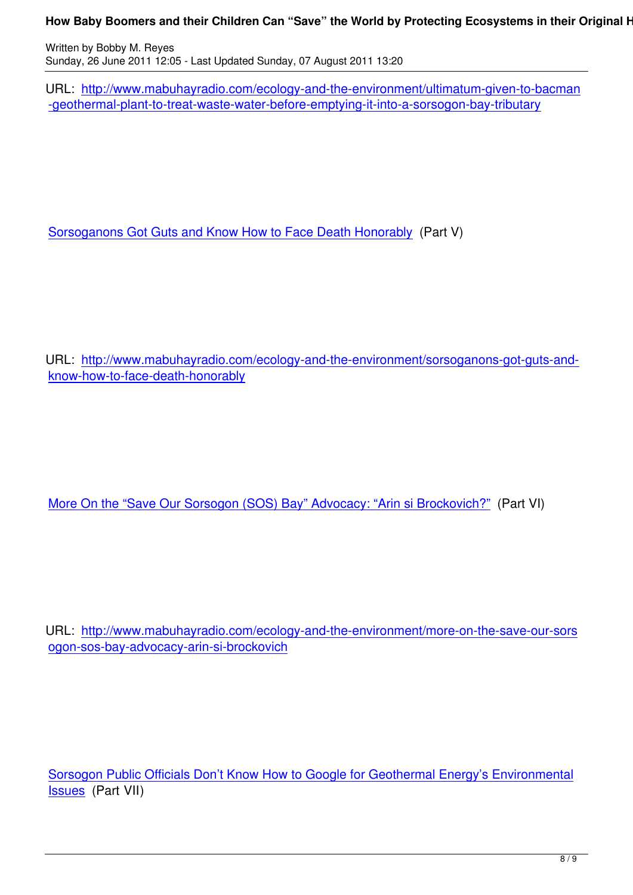URL: http://www.mabuhayradio.com/ecology-and-the-environment/ultimatum-given-to-bacman -geothermal-plant-to-treat-waste-water-before-emptying-it-into-a-sorsogon-bay-tributary

Sorsoganons Got Guts and Know How to Face Death Honorably (Part V)

URL: http://www.mabuhayradio.com/ecology-and-the-environment/sorsoganons-got-guts-andknow-how-to-face-death-honorably

More On the "Save Our Sorsogon (SOS) Bay" Advocacy: "Arin si Brockovich?" (Part VI)

URL: http://www.mabuhayradio.com/ecology-and-the-environment/more-on-the-save-our-sors ogon-sos-bay-advocacy-arin-si-brockovich

Sorsogon Public Officials Don't Know How to Google for Geothermal Energy's Environmental Issues (Part VII)